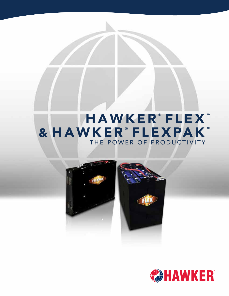# HAWKER®FLEX™ & HAWKER®FLEXPAK™ THE POWER OF PRODUCTIVITY



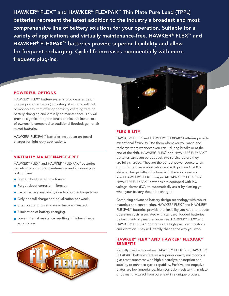HAWKER® FLEX™ and HAWKER® FLEXPAK™ Thin Plate Pure Lead (TPPL) batteries represent the latest addition to the industry's broadest and most comprehensive line of battery solutions for your operation. Suitable for a variety of applications and virtually maintenance-free, HAWKER® FLEX<sup>™</sup> and HAWKER<sup>®</sup> FLEXPAK<sup>™</sup> batteries provide superior flexibility and allow for frequent recharging. Cycle life increases exponentially with more frequent plug-ins.

#### POWERFUL OPTIONS

HAWKER® FLEX™ battery systems provide a range of motive power batteries (consisting of either 2 volt cells or monoblocs) that offer opportunity charging with no battery changing and virtually no maintenance. This will provide significant operational benefits at a lower cost of ownership compared to traditional flooded, gel, or air mixed batteries.

HAWKER® FLEXPAK™ batteries include an on-board charger for light-duty applications.

#### VIRTUALLY MAINTENANCE-FREE

HAWKER® FLEX™ and HAWKER® FLEXPAK™ batteries can eliminate routine maintenance and improve your bottom line:

- Forget about watering forever.
- $\blacksquare$  Forget about corrosion forever.
- Faster battery availability due to short recharge times.
- Only one full charge and equalization per week.
- Stratification problems are virtually eliminated.
- **Elimination of battery changing.**
- **Lower internal resistance resulting in higher charge** acceptance.





#### **FLEXIBILITY**

HAWKER® FLEX™ and HAWKER® FLEXPAK™ batteries provide exceptional flexibility. Use them whenever you want, and recharge them whenever you can – during breaks or at the end of the shift. HAWKER® FLEX™ and HAWKER® FLEXPAK™ batteries can even be put back into service before they are fully charged. They are the perfect power source to an opportunity charge application and will go from 40 - 80% state of charge within one hour with the appropriately sized HAWKER® FLEX™ charger. All HAWKER® FLEX™ and HAWKER® FLEXPAK™ batteries are equipped with low voltage alarms (LVA) to automatically assist by alerting you when your battery should be charged.

Combining advanced battery design technology with robust materials and construction, HAWKER® FLEX™ and HAWKER® FLEXPAK™ batteries provide the flexibility you need to reduce operating costs associated with standard flooded batteries by being virtually maintenance-free. HAWKER<sup>®</sup> FLEX<sup>™</sup> and HAWKER® FLEXPAK™ batteries are highly resistant to shock and vibration. They will literally change the way you work.

#### HAWKER® FLEX™ AND HAWKER® FLEXPAK™ **BENEFITS**

Virtually maintenance-free, HAWKER® FLEX™ and HAWKER® FLEXPAK™ batteries feature a superior quality microporous glass mat separator with high electrolyte absorption and stability to enhance cyclic capability. Positive and negative plates are low impedance, high corrosion-resistant thin plate grids manufactured from pure lead in a unique process.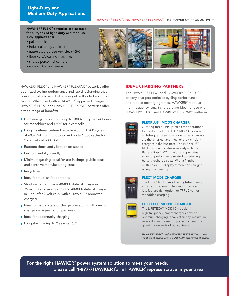### Light-Duty and Medium-Duty Applications

#### HAWKER® FLEX™ AND HAWKER® FLEXPAK™ THE POWER OF PRODUCTIVITY

HAWKER® FLEX™ batteries are suitable for all types of light-duty and mediumduty applications:

- pallet trucks
- industrial utility vehicles
- automated guided vehicles (AGV)
- floor care/cleaning machines
- shuttle personnel carriers
- narrow aisle fork trucks



HAWKER® FLEX™ and HAWKER® FLEXPAK™ batteries offer optimized cycling performance and rapid recharging that conventional lead acid batteries – gel or flooded – simply cannot. When used with a HAWKER® approved charger, HAWKER® FLEX™ and HAWKER® FLEXPAK™ batteries offer a wide range of benefits:

- $\blacksquare$  High energy throughput up to 180% of C<sub>6</sub> per 24 hours for monoblocs and 160% for 2 volt cells.
- Long maintenance-free life cycle up to 1,200 cycles at 60% DoD for monoblocs and up to 1,500 cycles for 2 volt cells at 60% DoD.
- Extreme shock and vibration resistance
- **Environmentally friendly**
- **Minimum gassing: ideal for use in shops, public areas,** and sensitive manufacturing areas.
- Recyclable
- $\blacksquare$  Ideal for multi-shift operations
- Short recharge times  $-40-80\%$  state of charge in 35 minutes for monoblocs and 40-80% state of charge in 1 hour for 2 volt cells (with a HAWKER® approved charger).
- I Ideal for partial state of charge operations with one full charge and equalization per week.
- I Ideal for opportunity charging.
- Long shelf life (up to 2 years at 68°F).

#### IDEAL CHARGING PARTNERS

The HAWKER® FLEX™ and HAWKER® FLEXPLUS™ battery chargers optimize cycling performance and reduce recharging times. HAWKER® modular high-frequency, smart chargers are ideal for use with HAWKER® FLEX™ and HAWKER® FLEXPAK™ batteries:



#### FLEXPLUS™ MOD3 CHARGER

Offering three TPPL profiles for operational flexibility, the FLEXPLUS™ MOD3 modular high-frequency switch-mode, smart chargers are the smartest and most energy-efficient chargers in the business. The FLEXPLUS™ MOD3 communicates wirelessly with the Battery Boss® WC (BBWC), and provides superior performance related to reducing battery recharge costs. With a 7-inch, multi-color TFT display screen, this charger is very user friendly.

## FLEX™ MOD3 CHARGER

The FLEX™ MOD3 modular high-frequency switch-mode, smart chargers provide a less feature-rich option for TPPL 2 volt or monobloc charging.

| <b>Contract Contract Contract</b> |  |
|-----------------------------------|--|
|                                   |  |
|                                   |  |

#### LIFETECH™ MOD1C CHARGER

The LIFETECH™ MOD1C modular high-frequency, smart chargers provide optimum charging, peak efficiency, maximum reliability, and non-stop power to meet the growing demands of our customers.

*HAWKER® FLEX™ and HAWKER® FLEXPAK™ batteries must be charged with a HAWKER® approved charger.*

For the right HAWKER® power system solution to meet your needs, please call 1-877-7HAWKER for a HAWKER® representative in your area.